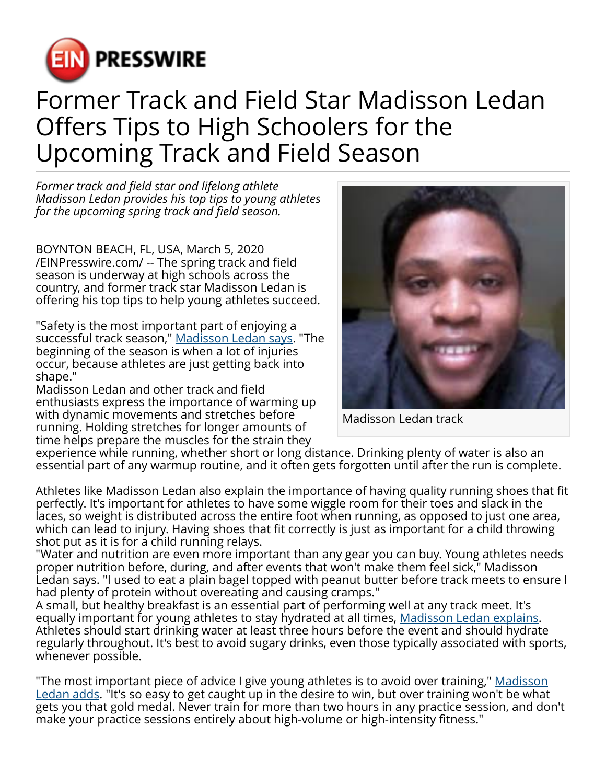

## Former Track and Field Star Madisson Ledan Offers Tips to High Schoolers for the Upcoming Track and Field Season

*Former track and field star and lifelong athlete Madisson Ledan provides his top tips to young athletes for the upcoming spring track and field season.*

BOYNTON BEACH, FL, USA, March 5, 2020 [/EINPresswire.com/](http://www.einpresswire.com) -- The spring track and field season is underway at high schools across the country, and former track star Madisson Ledan is offering his top tips to help young athletes succeed.

"Safety is the most important part of enjoying a successful track season," [Madisson Ledan says.](https://madissonledan.com/) "The beginning of the season is when a lot of injuries occur, because athletes are just getting back into shape."

Madisson Ledan and other track and field enthusiasts express the importance of warming up with dynamic movements and stretches before running. Holding stretches for longer amounts of time helps prepare the muscles for the strain they



Madisson Ledan track

experience while running, whether short or long distance. Drinking plenty of water is also an essential part of any warmup routine, and it often gets forgotten until after the run is complete.

Athletes like Madisson Ledan also explain the importance of having quality running shoes that fit perfectly. It's important for athletes to have some wiggle room for their toes and slack in the laces, so weight is distributed across the entire foot when running, as opposed to just one area, which can lead to injury. Having shoes that fit correctly is just as important for a child throwing shot put as it is for a child running relays.

"Water and nutrition are even more important than any gear you can buy. Young athletes needs proper nutrition before, during, and after events that won't make them feel sick," Madisson Ledan says. "I used to eat a plain bagel topped with peanut butter before track meets to ensure I had plenty of protein without overeating and causing cramps."

A small, but healthy breakfast is an essential part of performing well at any track meet. It's equally important for young athletes to stay hydrated at all times, [Madisson Ledan explains](https://madissonledan.co/). Athletes should start drinking water at least three hours before the event and should hydrate regularly throughout. It's best to avoid sugary drinks, even those typically associated with sports, whenever possible.

"The most important piece of advice I give young athletes is to avoid over training," <u>[Madisson](https://medium.com/@madissonledan)</u> [Ledan adds.](https://medium.com/@madissonledan) "It's so easy to get caught up in the desire to win, but over training won't be what gets you that gold medal. Never train for more than two hours in any practice session, and don't make your practice sessions entirely about high-volume or high-intensity fitness."